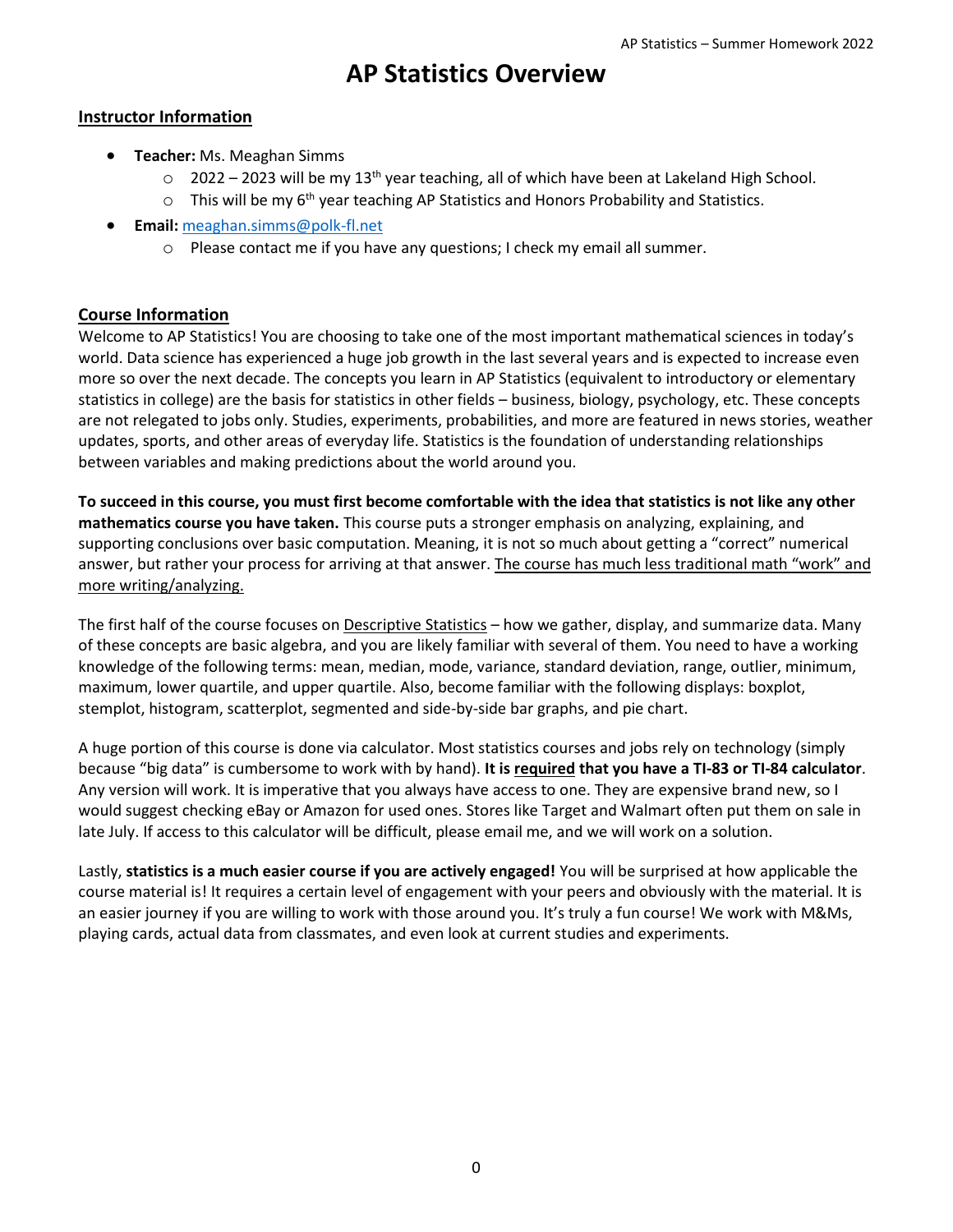## **AP Statistics Overview**

## **Instructor Information**

- **Teacher:** Ms. Meaghan Simms
	- $\circ$  2022 2023 will be my 13<sup>th</sup> year teaching, all of which have been at Lakeland High School.
	- $\circ$  This will be my 6<sup>th</sup> year teaching AP Statistics and Honors Probability and Statistics.
- **Email:** [meaghan.simms@polk-fl.net](mailto:meaghan.simms@polk-fl.net)
	- o Please contact me if you have any questions; I check my email all summer.

## **Course Information**

Welcome to AP Statistics! You are choosing to take one of the most important mathematical sciences in today's world. Data science has experienced a huge job growth in the last several years and is expected to increase even more so over the next decade. The concepts you learn in AP Statistics (equivalent to introductory or elementary statistics in college) are the basis for statistics in other fields – business, biology, psychology, etc. These concepts are not relegated to jobs only. Studies, experiments, probabilities, and more are featured in news stories, weather updates, sports, and other areas of everyday life. Statistics is the foundation of understanding relationships between variables and making predictions about the world around you.

**To succeed in this course, you must first become comfortable with the idea that statistics is not like any other mathematics course you have taken.** This course puts a stronger emphasis on analyzing, explaining, and supporting conclusions over basic computation. Meaning, it is not so much about getting a "correct" numerical answer, but rather your process for arriving at that answer. The course has much less traditional math "work" and more writing/analyzing.

The first half of the course focuses on Descriptive Statistics – how we gather, display, and summarize data. Many of these concepts are basic algebra, and you are likely familiar with several of them. You need to have a working knowledge of the following terms: mean, median, mode, variance, standard deviation, range, outlier, minimum, maximum, lower quartile, and upper quartile. Also, become familiar with the following displays: boxplot, stemplot, histogram, scatterplot, segmented and side-by-side bar graphs, and pie chart.

A huge portion of this course is done via calculator. Most statistics courses and jobs rely on technology (simply because "big data" is cumbersome to work with by hand). **It is required that you have a TI-83 or TI-84 calculator**. Any version will work. It is imperative that you always have access to one. They are expensive brand new, so I would suggest checking eBay or Amazon for used ones. Stores like Target and Walmart often put them on sale in late July. If access to this calculator will be difficult, please email me, and we will work on a solution.

Lastly, **statistics is a much easier course if you are actively engaged!** You will be surprised at how applicable the course material is! It requires a certain level of engagement with your peers and obviously with the material. It is an easier journey if you are willing to work with those around you. It's truly a fun course! We work with M&Ms, playing cards, actual data from classmates, and even look at current studies and experiments.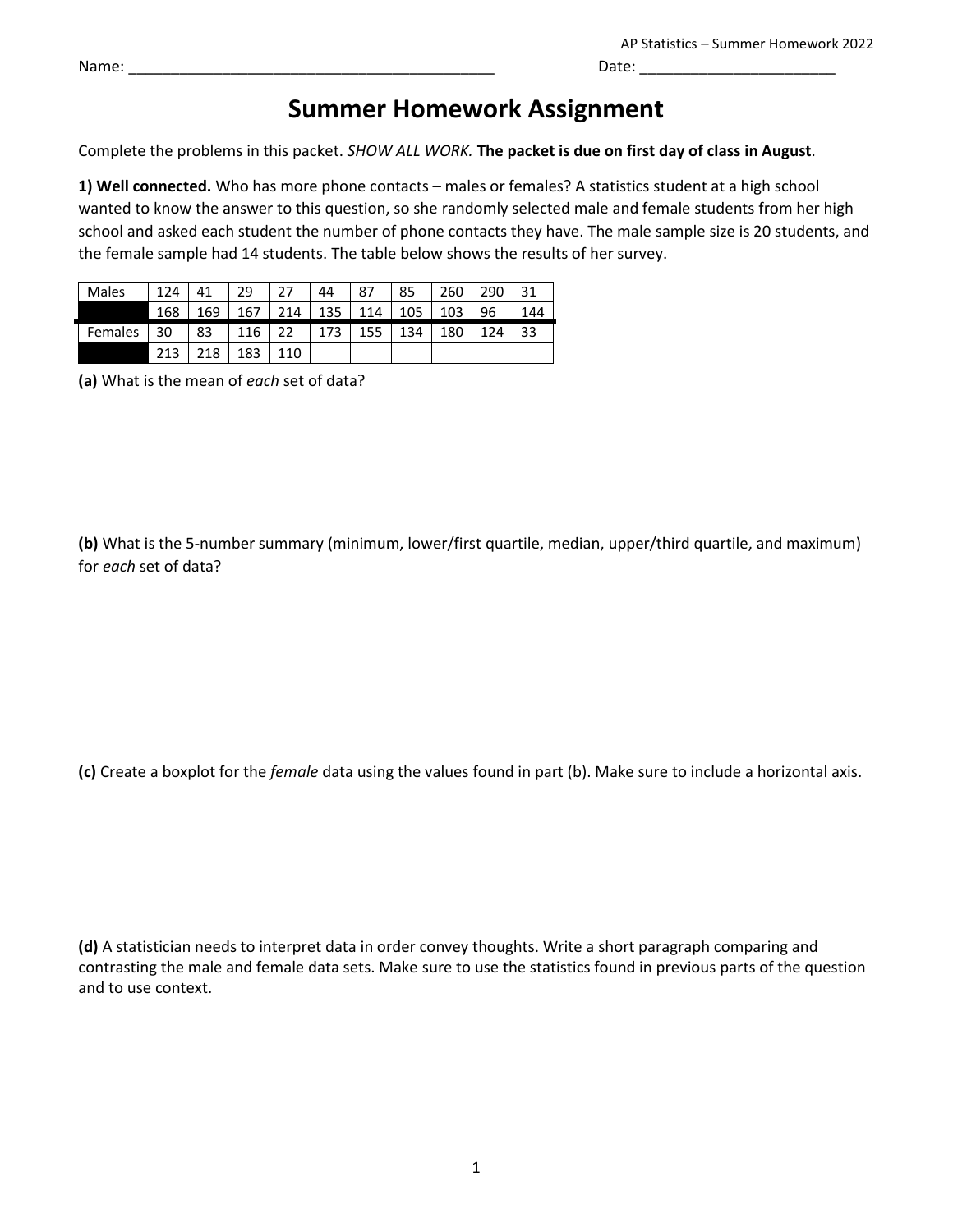## **Summer Homework Assignment**

Complete the problems in this packet. *SHOW ALL WORK.* **The packet is due on first day of class in August**.

**1) Well connected.** Who has more phone contacts – males or females? A statistics student at a high school wanted to know the answer to this question, so she randomly selected male and female students from her high school and asked each student the number of phone contacts they have. The male sample size is 20 students, and the female sample had 14 students. The table below shows the results of her survey.

| <b>Males</b> | 124 | 41  | 29         | っっ                  | 44  | 87  | 85                    | 260 | 290 | 31  |
|--------------|-----|-----|------------|---------------------|-----|-----|-----------------------|-----|-----|-----|
|              | 168 | 169 | 167        | $\vert$ 214 $\vert$ |     |     | 135   114   105   103 |     | -96 | 144 |
| Females      | 30  | 83  | $116$   22 |                     | 173 | 155 | 134                   | 180 | 124 | -33 |
|              | 213 | 218 | 183        | 110                 |     |     |                       |     |     |     |

**(a)** What is the mean of *each* set of data?

**(b)** What is the 5-number summary (minimum, lower/first quartile, median, upper/third quartile, and maximum) for *each* set of data?

**(c)** Create a boxplot for the *female* data using the values found in part (b). Make sure to include a horizontal axis.

**(d)** A statistician needs to interpret data in order convey thoughts. Write a short paragraph comparing and contrasting the male and female data sets. Make sure to use the statistics found in previous parts of the question and to use context.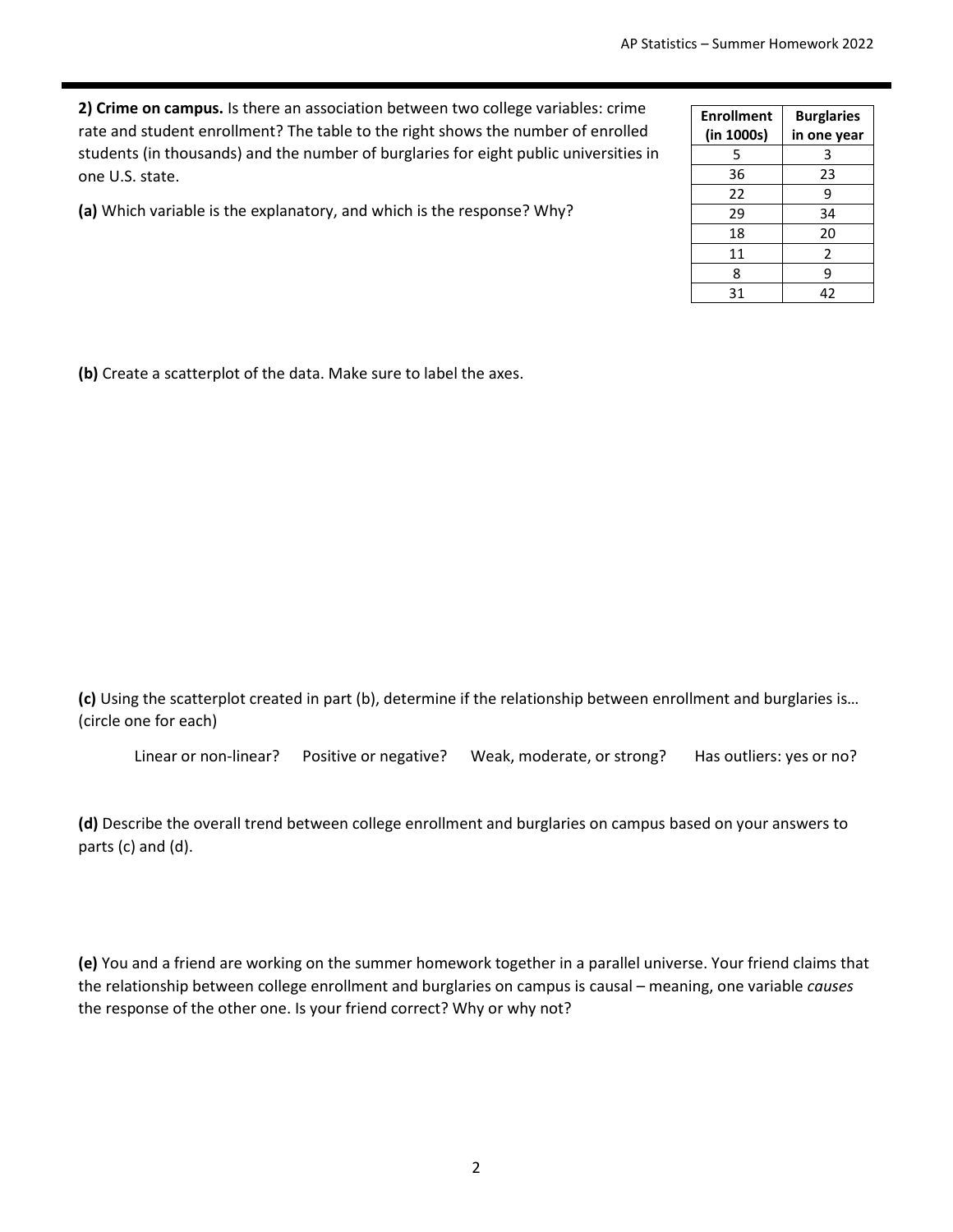**2) Crime on campus.** Is there an association between two college variables: crime rate and student enrollment? The table to the right shows the number of enrolled students (in thousands) and the number of burglaries for eight public universities in one U.S. state.

**(a)** Which variable is the explanatory, and which is the response? Why?

| <b>Enrollment</b><br>(in 1000s) | <b>Burglaries</b><br>in one year |
|---------------------------------|----------------------------------|
| 5                               | 3                                |
| 36                              | 23                               |
| 22                              | 9                                |
| 29                              | 34                               |
| 18                              | 20                               |
| 11                              | 2                                |
| 8                               | 9                                |
| 31                              | 42                               |

**(b)** Create a scatterplot of the data. Make sure to label the axes.

**(c)** Using the scatterplot created in part (b), determine if the relationship between enrollment and burglaries is… (circle one for each)

Linear or non-linear? Positive or negative? Weak, moderate, or strong? Has outliers: yes or no?

**(d)** Describe the overall trend between college enrollment and burglaries on campus based on your answers to parts (c) and (d).

**(e)** You and a friend are working on the summer homework together in a parallel universe. Your friend claims that the relationship between college enrollment and burglaries on campus is causal – meaning, one variable *causes* the response of the other one. Is your friend correct? Why or why not?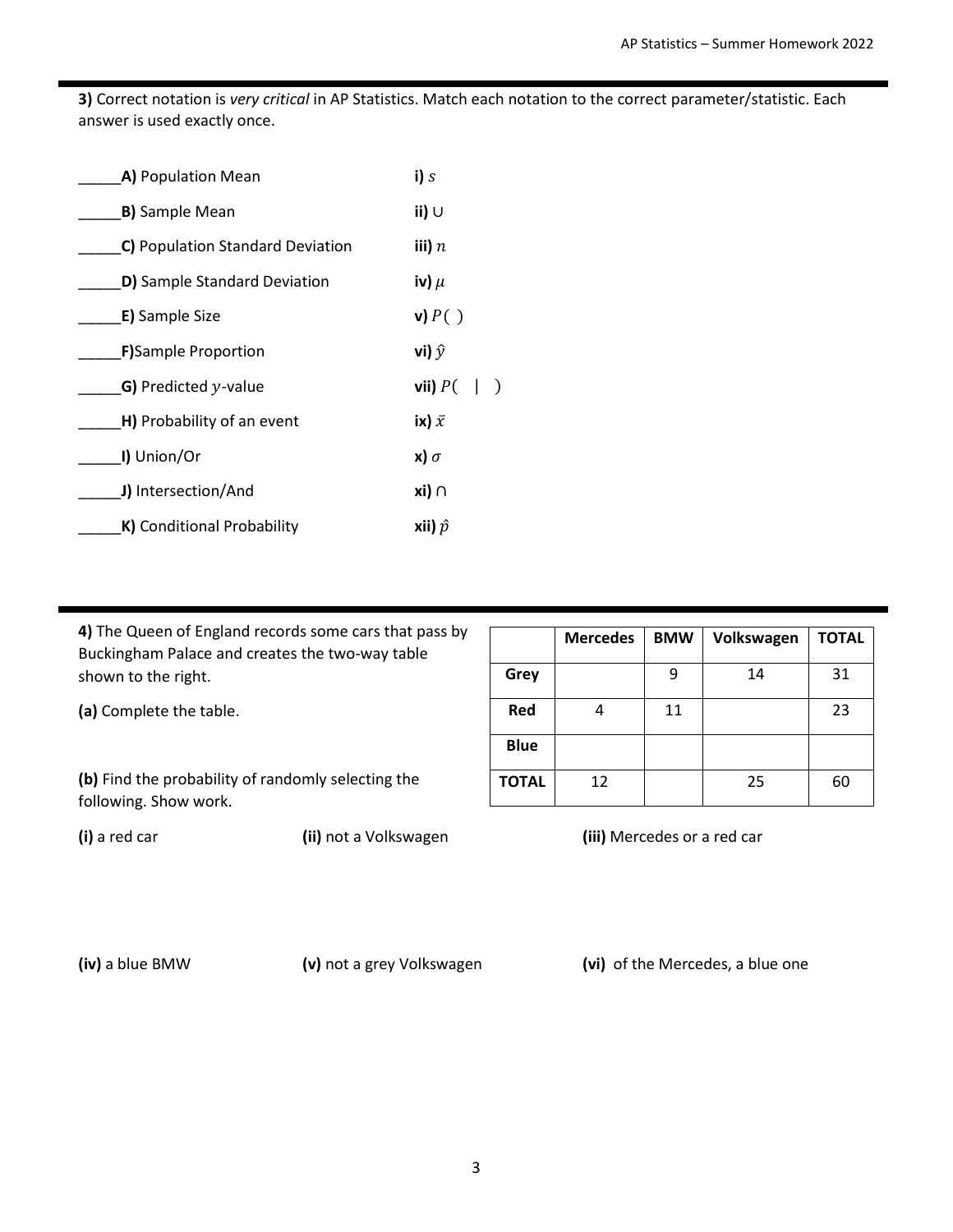**3)** Correct notation is *very critical* in AP Statistics. Match each notation to the correct parameter/statistic. Each answer is used exactly once.

| A) Population Mean               | i) s                    |
|----------------------------------|-------------------------|
| <b>B)</b> Sample Mean            | ii) $\cup$              |
| C) Population Standard Deviation | iii) $n$                |
| D) Sample Standard Deviation     | iv) $\mu$               |
| E) Sample Size                   | $\mathbf{v}$ ) $P($ )   |
| <b>F)</b> Sample Proportion      | vi) $\hat{y}$           |
| G) Predicted $y$ -value          | vii) $P($               |
| H) Probability of an event       | ix) $\bar{x}$           |
| I) Union/Or                      | $\mathbf{x}$ ) $\sigma$ |
| J) Intersection/And              | xi) ∩                   |
| K) Conditional Probability       | xii) $\hat{p}$          |

**4)** The Queen of England records some cars that pass by Buckingham Palace and creates the two-way table shown to the right.

**(a)** Complete the table.

**(b)** Find the probability of randomly selecting the following. Show work.

**Mercedes BMW Volkswagen TOTAL Grey** | 9 | 14 | 31 **Red** | 4 | 11 | 23 **Blue TOTAL** 12 12 25 60

**(i)** a red car **(ii)** not a Volkswagen **(iii)** Mercedes or a red car

**(iv)** a blue BMW **(v)** not a grey Volkswagen **(vi)** of the Mercedes, a blue one